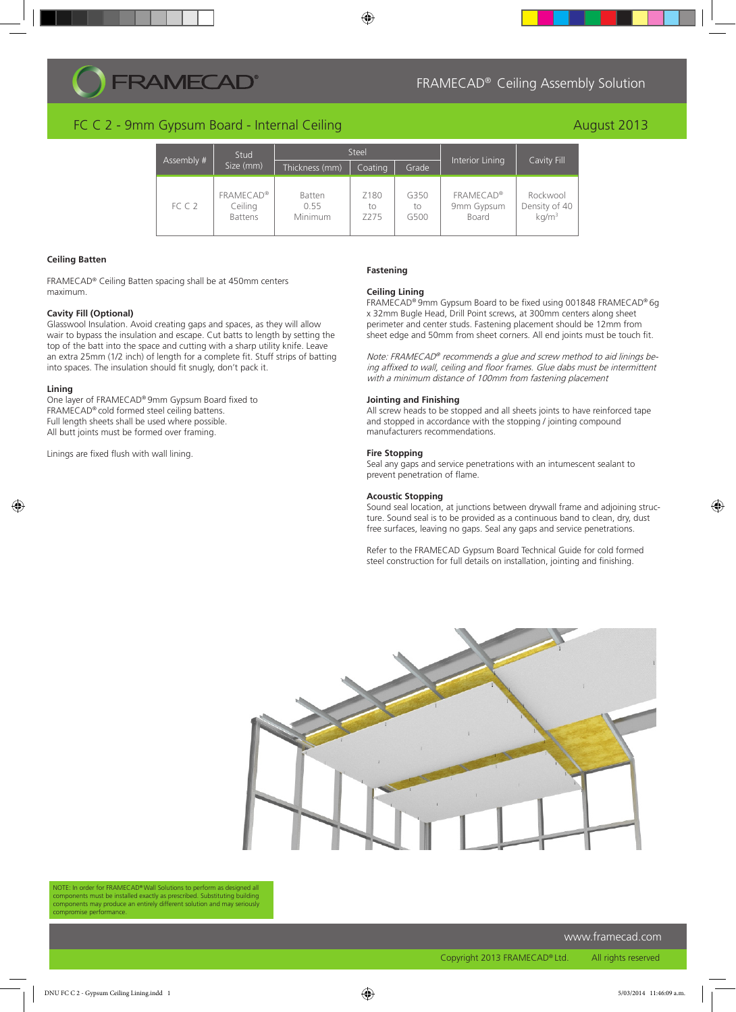# **RAMECAD®**

## FC C 2 - 9mm Gypsum Board - Internal Ceiling

| Assembly # | Stud<br>Size (mm)                             | <b>Steel</b>                     |                                |                    |                                         |                                                |
|------------|-----------------------------------------------|----------------------------------|--------------------------------|--------------------|-----------------------------------------|------------------------------------------------|
|            |                                               | Thickness (mm)                   | Coating                        | Grade              | Interior Lining                         | Cavity Fill                                    |
| FCC2       | <b>FRAMECAD®</b><br>Ceiling<br><b>Battens</b> | Batten<br>0.55<br><b>Minimum</b> | Z180<br>tο<br>Z <sub>275</sub> | G350<br>to<br>G500 | <b>FRAMECAD®</b><br>9mm Gypsum<br>Board | Rockwool<br>Density of 40<br>kg/m <sup>3</sup> |

 $\bigcirc$ 

#### **Ceiling Batten**

FRAMECAD® Ceiling Batten spacing shall be at 450mm centers maximum.

#### **Cavity Fill (Optional)**

Glasswool Insulation. Avoid creating gaps and spaces, as they will allow wair to bypass the insulation and escape. Cut batts to length by setting the top of the batt into the space and cutting with a sharp utility knife. Leave an extra 25mm (1/2 inch) of length for a complete fit. Stuff strips of batting into spaces. The insulation should fit snugly, don't pack it.

#### **Lining**

◈

One layer of FRAMECAD® 9mm Gypsum Board fixed to FRAMECAD® cold formed steel ceiling battens. Full length sheets shall be used where possible. All butt joints must be formed over framing.

Linings are fixed flush with wall lining.

#### **Fastening**

#### **Ceiling Lining**

FRAMECAD® 9mm Gypsum Board to be fixed using 001848 FRAMECAD® 6g x 32mm Bugle Head, Drill Point screws, at 300mm centers along sheet perimeter and center studs. Fastening placement should be 12mm from sheet edge and 50mm from sheet corners. All end joints must be touch fit.

FRAMECAD® Ceiling Assembly Solution

August 2013

Note: FRAMECAD® recommends a glue and screw method to aid linings being affixed to wall, ceiling and floor frames. Glue dabs must be intermittent with a minimum distance of 100mm from fastening placement

#### **Jointing and Finishing**

All screw heads to be stopped and all sheets joints to have reinforced tape and stopped in accordance with the stopping / jointing compound manufacturers recommendations.

#### **Fire Stopping**

Seal any gaps and service penetrations with an intumescent sealant to prevent penetration of flame.

### **Acoustic Stopping**

Sound seal location, at junctions between drywall frame and adjoining structure. Sound seal is to be provided as a continuous band to clean, dry, dust free surfaces, leaving no gaps. Seal any gaps and service penetrations.

Refer to the FRAMECAD Gypsum Board Technical Guide for cold formed steel construction for full details on installation, jointing and finishing.



NOTE: In order for FRAMECAD® Wall Solutions to perform as desi components must be installed exactly as prescribed. Substituting building components may produce an entirely different solution and may seriously compromise performance.

www.framecad.com

Copyright 2013 FRAMECAD® Ltd. All rights reserved

◈